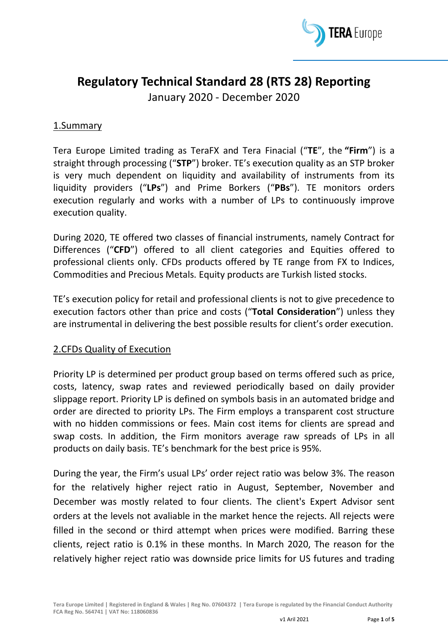

# **Regulatory Technical Standard 28 (RTS 28) Reporting**

January 2020 - December 2020

# 1.Summary

Tera Europe Limited trading as TeraFX and Tera Finacial ("**TE**", the **"Firm**") is a straight through processing ("**STP**") broker. TE's execution quality as an STP broker is very much dependent on liquidity and availability of instruments from its liquidity providers ("**LPs**") and Prime Borkers ("**PBs**"). TE monitors orders execution regularly and works with a number of LPs to continuously improve execution quality.

During 2020, TE offered two classes of financial instruments, namely Contract for Differences ("**CFD**") offered to all client categories and Equities offered to professional clients only. CFDs products offered by TE range from FX to Indices, Commodities and Precious Metals. Equity products are Turkish listed stocks.

TE's execution policy for retail and professional clients is not to give precedence to execution factors other than price and costs ("**Total Consideration**") unless they are instrumental in delivering the best possible results for client's order execution.

# 2.CFDs Quality of Execution

Priority LP is determined per product group based on terms offered such as price, costs, latency, swap rates and reviewed periodically based on daily provider slippage report. Priority LP is defined on symbols basis in an automated bridge and order are directed to priority LPs. The Firm employs a transparent cost structure with no hidden commissions or fees. Main cost items for clients are spread and swap costs. In addition, the Firm monitors average raw spreads of LPs in all products on daily basis. TE's benchmark for the best price is 95%.

During the year, the Firm's usual LPs' order reject ratio was below 3%. The reason for the relatively higher reject ratio in August, September, November and December was mostly related to four clients. The client's Expert Advisor sent orders at the levels not avaliable in the market hence the rejects. All rejects were filled in the second or third attempt when prices were modified. Barring these clients, reject ratio is 0.1% in these months. In March 2020, The reason for the relatively higher reject ratio was downside price limits for US futures and trading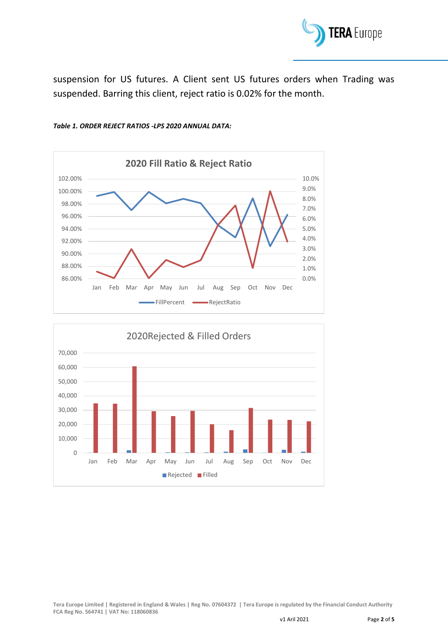

suspension for US futures. A Client sent US futures orders when Trading was suspended. Barring this client, reject ratio is 0.02% for the month.





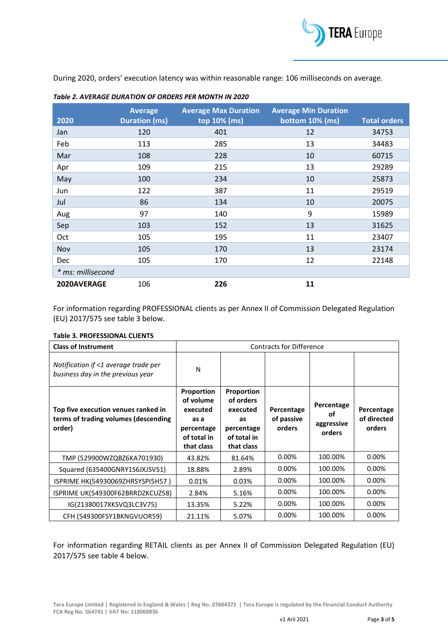

During 2020, orders' execution latency was within reasonable range: 106 milliseconds on average.

|                   | <b>Average</b>       | <b>Average Max Duration</b> | <b>Average Min Duration</b> |                     |
|-------------------|----------------------|-----------------------------|-----------------------------|---------------------|
| 2020              | <b>Duration (ms)</b> | top 10% (ms)                | bottom 10% (ms)             | <b>Total orders</b> |
| Jan               | 120                  | 401                         | 12                          | 34753               |
| Feb               | 113                  | 285                         | 13                          | 34483               |
| Mar               | 108                  | 228                         | 10                          | 60715               |
| Apr               | 109                  | 215                         | 13                          | 29289               |
| May               | 100                  | 234                         | 10                          | 25873               |
| Jun               | 122                  | 387                         | 11                          | 29519               |
| Jul               | 86                   | 134                         | 10                          | 20075               |
| Aug               | 97                   | 140                         | 9                           | 15989               |
| Sep               | 103                  | 152                         | 13                          | 31625               |
| Oct               | 105                  | 195                         | 11                          | 23407               |
| Nov               | 105                  | 170                         | 13                          | 23174               |
| <b>Dec</b>        | 105                  | 170                         | 12                          | 22148               |
| * ms: millisecond |                      |                             |                             |                     |
| 2020AVERAGE       | 106                  | 226                         | 11                          |                     |

#### *Table 2. AVERAGE DURATION OF ORDERS PER MONTH IN 2020*

For information regarding PROFESSIONAL clients as per Annex II of Commission Delegated Regulation (EU) 2017/575 see table 3 below.

#### **Table 3. PROFESSIONAL CLIENTS**

| <b>Class of Instrument</b>                                                            | <b>Contracts for Difference</b>                                                        |                                                                                      |                                    |                                          |                                     |
|---------------------------------------------------------------------------------------|----------------------------------------------------------------------------------------|--------------------------------------------------------------------------------------|------------------------------------|------------------------------------------|-------------------------------------|
| Notification if <1 average trade per<br>business day in the previous year             | N                                                                                      |                                                                                      |                                    |                                          |                                     |
| Top five execution venues ranked in<br>terms of trading volumes (descending<br>order) | Proportion<br>of volume<br>executed<br>as a<br>percentage<br>of total in<br>that class | Proportion<br>of orders<br>executed<br>as<br>percentage<br>of total in<br>that class | Percentage<br>of passive<br>orders | Percentage<br>οf<br>aggressive<br>orders | Percentage<br>of directed<br>orders |
| TMP (529900WZQBZ6KA701930)                                                            | 43.82%                                                                                 | 81.64%                                                                               | 0.00%                              | 100.00%                                  | 0.00%                               |
| Squared (635400GNRY1S6JXJSV51)                                                        | 18.88%                                                                                 | 2.89%                                                                                | 0.00%                              | 100.00%                                  | 0.00%                               |
| ISPRIME HK(54930069ZHRSYSPI5H57)                                                      | 0.01%                                                                                  | 0.03%                                                                                | 0.00%                              | 100.00%                                  | 0.00%                               |
| ISPRIME UK(549300F62BRRDZKCUZ58)                                                      | 2.84%                                                                                  | 5.16%                                                                                | 0.00%                              | 100.00%                                  | 0.00%                               |
| IG(21380017XKSVQ3LC3V75)                                                              | 13.35%                                                                                 | 5.22%                                                                                | 0.00%                              | 100.00%                                  | 0.00%                               |
| CFH (549300FSY1BKNGVUOR59)                                                            | 21.11%                                                                                 | 5.07%                                                                                | 0.00%                              | 100.00%                                  | 0.00%                               |

For information regarding RETAIL clients as per Annex II of Commission Delegated Regulation (EU) 2017/575 see table 4 below.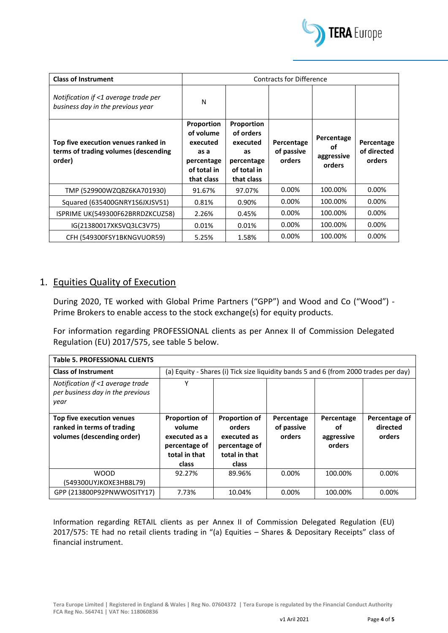

| <b>Class of Instrument</b>                                                            | <b>Contracts for Difference</b>                                                               |                                                                                      |                                    |                                          |                                     |
|---------------------------------------------------------------------------------------|-----------------------------------------------------------------------------------------------|--------------------------------------------------------------------------------------|------------------------------------|------------------------------------------|-------------------------------------|
| Notification if <1 average trade per<br>business day in the previous year             | N                                                                                             |                                                                                      |                                    |                                          |                                     |
| Top five execution venues ranked in<br>terms of trading volumes (descending<br>order) | <b>Proportion</b><br>of volume<br>executed<br>as a<br>percentage<br>of total in<br>that class | Proportion<br>of orders<br>executed<br>as<br>percentage<br>of total in<br>that class | Percentage<br>of passive<br>orders | Percentage<br>οf<br>aggressive<br>orders | Percentage<br>of directed<br>orders |
| TMP (529900WZQBZ6KA701930)                                                            | 91.67%                                                                                        | 97.07%                                                                               | 0.00%                              | 100.00%                                  | 0.00%                               |
| Squared (635400GNRY1S6JXJSV51)                                                        | 0.81%                                                                                         | 0.90%                                                                                | 0.00%                              | 100.00%                                  | 0.00%                               |
| ISPRIME UK(549300F62BRRDZKCUZ58)                                                      | 2.26%                                                                                         | 0.45%                                                                                | 0.00%                              | 100.00%                                  | 0.00%                               |
| IG(21380017XKSVQ3LC3V75)                                                              | 0.01%                                                                                         | 0.01%                                                                                | 0.00%                              | 100.00%                                  | 0.00%                               |
| CFH (549300FSY1BKNGVUOR59)                                                            | 5.25%                                                                                         | 1.58%                                                                                | 0.00%                              | 100.00%                                  | 0.00%                               |

### 1. Equities Quality of Execution

During 2020, TE worked with Global Prime Partners ("GPP") and Wood and Co ("Wood") - Prime Brokers to enable access to the stock exchange(s) for equity products.

For information regarding PROFESSIONAL clients as per Annex II of Commission Delegated Regulation (EU) 2017/575, see table 5 below.

| <b>Table 5. PROFESSIONAL CLIENTS</b>                                                  |                                                                                            |                                                                                          |                                    |                                          |                                     |
|---------------------------------------------------------------------------------------|--------------------------------------------------------------------------------------------|------------------------------------------------------------------------------------------|------------------------------------|------------------------------------------|-------------------------------------|
| <b>Class of Instrument</b>                                                            | (a) Equity - Shares (i) Tick size liquidity bands 5 and 6 (from 2000 trades per day)       |                                                                                          |                                    |                                          |                                     |
| Notification if <1 average trade<br>per business day in the previous<br>year          | v                                                                                          |                                                                                          |                                    |                                          |                                     |
| Top five execution venues<br>ranked in terms of trading<br>volumes (descending order) | <b>Proportion of</b><br>volume<br>executed as a<br>percentage of<br>total in that<br>class | <b>Proportion of</b><br>orders<br>executed as<br>percentage of<br>total in that<br>class | Percentage<br>of passive<br>orders | Percentage<br>οf<br>aggressive<br>orders | Percentage of<br>directed<br>orders |
| WOOD<br>(549300UYJKOXE3HB8L79)                                                        | 92.27%                                                                                     | 89.96%                                                                                   | $0.00\%$                           | 100.00%                                  | 0.00%                               |
|                                                                                       |                                                                                            |                                                                                          |                                    |                                          |                                     |

Information regarding RETAIL clients as per Annex II of Commission Delegated Regulation (EU) 2017/575: TE had no retail clients trading in "(a) Equities – Shares & Depositary Receipts" class of financial instrument.